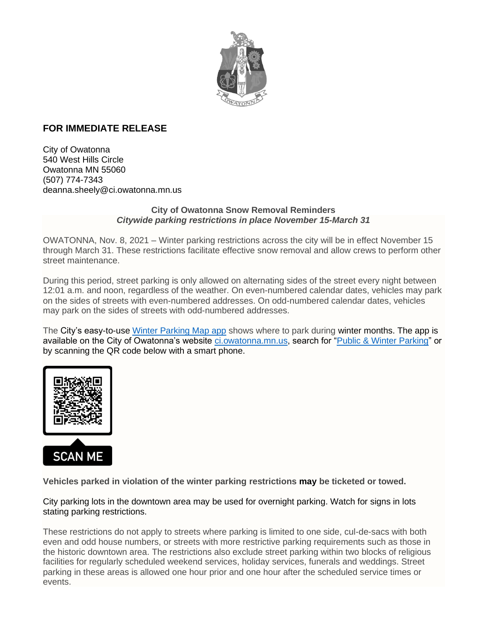

## **FOR IMMEDIATE RELEASE**

City of Owatonna 540 West Hills Circle Owatonna MN 55060 (507) 774-7343 deanna.sheely@ci.owatonna.mn.us

## **City of Owatonna Snow Removal Reminders** *Citywide parking restrictions in place November 15-March 31*

OWATONNA, Nov. 8, 2021 – Winter parking restrictions across the city will be in effect November 15 through March 31. These restrictions facilitate effective snow removal and allow crews to perform other street maintenance.

During this period, street parking is only allowed on alternating sides of the street every night between 12:01 a.m. and noon, regardless of the weather. On even-numbered calendar dates, vehicles may park on the sides of streets with even-numbered addresses. On odd-numbered calendar dates, vehicles may park on the sides of streets with odd-numbered addresses.

The City's easy-to-use [Winter Parking Map app](https://gis.ci.owatonna.mn.us/portal/apps/webappviewer/index.html?id=a514111773524a1fa3f266bfa1c5b7ed) shows where to park during winter months. The app is available on the City of Owatonna's website [ci.owatonna.mn.us,](http://ci.owatonna.mn.us/) search for ["Public & Winter Parking"](http://www.ci.owatonna.mn.us/514/Public-Winter-Parking) or by scanning the QR code below with a smart phone.



**Vehicles parked in violation of the winter parking restrictions may be ticketed or towed.**

City parking lots in the downtown area may be used for overnight parking. Watch for signs in lots stating parking restrictions.

These restrictions do not apply to streets where parking is limited to one side, cul-de-sacs with both even and odd house numbers, or streets with more restrictive parking requirements such as those in the historic downtown area. The restrictions also exclude street parking within two blocks of religious facilities for regularly scheduled weekend services, holiday services, funerals and weddings. Street parking in these areas is allowed one hour prior and one hour after the scheduled service times or events.